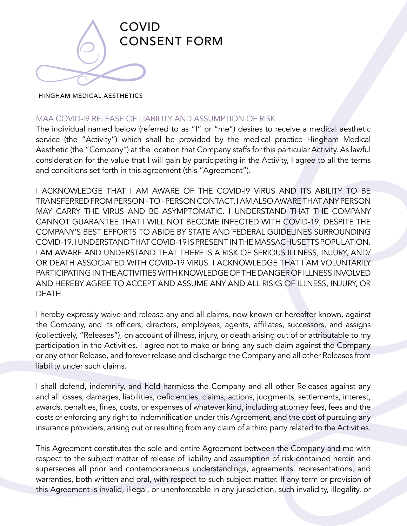

## HINGHAM MEDICAL AESTHETICS

## MAA COVID-I9 RELEASE OF LIABILITY AND ASSUMPTION OF RISK

The individual named below (referred to as "I" or "me") desires to receive a medical aesthetic service (the "Activity") which shall be provided by the medical practice Hingham Medical Aesthetic (the "Company'') at the location that Company staffs for this particular Activity. As lawful consideration for the value that I will gain by participating in the Activity, I agree to all the terms and conditions set forth in this agreement (this "Agreement").

I ACKNOWLEDGE THAT I AM AWARE OF THE COVID-l9 VIRUS AND ITS ABILITY TO BE TRANSFERRED FROM PERSON - TO - PERSON CONTACT. I AM ALSO AWARE THAT ANY PERSON MAY CARRY THE VIRUS AND BE ASYMPTOMATIC. I UNDERSTAND THAT THE COMPANY CANNOT GUARANTEE THAT I WILL NOT BECOME INFECTED WITH COVID-19, DESPITE THE COMPANY'S BEST EFFORTS TO ABIDE BY STATE AND FEDERAL GUIDELINES SURROUNDING COVID-19. I UNDERSTAND THAT COVID-19 IS PRESENT IN THE MASSACHUSETTS POPULATION. I AM AWARE AND UNDERSTAND THAT THERE IS A RISK OF SERIOUS ILLNESS, INJURY, AND/ OR DEATH ASSOCIATED WITH COVID-19 VIRUS. I ACKNOWLEDGE THAT I AM VOLUNTARILY PARTICIPATING IN THE ACTIVITIES WITH KNOWLEDGE OF THE DANGER OF ILLNESS INVOLVED AND HEREBY AGREE TO ACCEPT AND ASSUME ANY AND ALL RISKS OF ILLNESS, INJURY, OR DEATH.

I hereby expressly waive and release any and all claims, now known or hereafter known, against the Company, and its officers, directors, employees, agents, affiliates, successors, and assigns (collectively, "Releases"), on account of illness, injury, or death arising out of or attributable to my participation in the Activities. I agree not to make or bring any such claim against the Company or any other Release, and forever release and discharge the Company and all other Releases from liability under such claims.

I shall defend, indemnify, and hold harmless the Company and all other Releases against any and all losses, damages, liabilities, deficiencies, claims, actions, judgments, settlements, interest, awards, penalties, fines, costs, or expenses of whatever kind, including attorney fees, fees and the costs of enforcing any right to indemnification under this Agreement, and the cost of pursuing any insurance providers, arising out or resulting from any claim of a third party related to the Activities.

This Agreement constitutes the sole and entire Agreement between the Company and me with respect to the subject matter of release of liability and assumption of risk contained herein and supersedes all prior and contemporaneous understandings, agreements, representations, and warranties, both written and oral, with respect to such subject matter. If any term or provision of this Agreement is invalid, illegal, or unenforceable in any jurisdiction, such invalidity, illegality, or